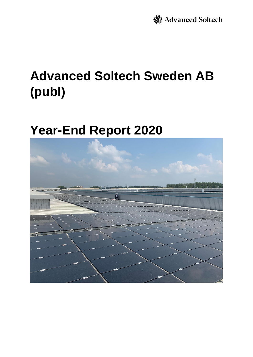# **Advanced Soltech Sweden AB (publ)**

# **Year-End Report 2020**

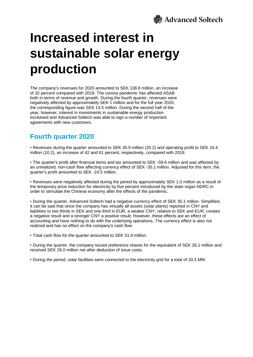

# **Increased interest in sustainable solar energy production**

The company's revenues for 2020 amounted to SEK 138.8 million, an increase of 32 percent compared with 2019. The corona pandemic has affected ASAB both in terms of revenue and growth. During the fourth quarter, revenues were negatively affected by approximately SEK 1 million and for the full year 2020, the corresponding figure was SEK 13.5 million. During the second half of the year, however, interest in investments in sustainable energy production increased and Advanced Soltech was able to sign a number of important agreements with new customers.

### **Fourth quarter 2020**

• Revenues during the quarter amounted to SEK 35.9 million (25.2) and operating profit to SEK 16.4 million (10.2), an increase of 42 and 61 percent, respectively, compared with 2019.

• The quarter's profit after financial items and tax amounted to SEK -59.6 million and was affected by an unrealized, non-cash flow affecting currency effect of SEK -35.1 million. Adjusted for this item, the quarter's profit amounted to SEK -24.5 million.

• Revenues were negatively affected during the period by approximately SEK 1.0 million as a result of the temporary price reduction for electricity by five percent introduced by the state organ NDRC in order to stimulate the Chinese economy after the effects of the pandemic.

• During the quarter, Advanced Soltech had a negative currency effect of SEK 35.1 million. Simplified, it can be said that since the company has virtually all assets (solar plants) reported in CNY and liabilities to two thirds in SEK and one third in EUR, a weaker CNY, relative to SEK and EUR, creates a negative result and a stronger CNY a positive result. However, these effects are an effect of accounting and have nothing to do with the underlying operations. The currency effect is also not realized and has no effect on the company's cash flow.

• Total cash flow for the quarter amounted to SEK 51.9 million.

• During the quarter, the company issued preference shares for the equivalent of SEK 26.1 million and received SEK 26.0 million net after deduction of issue costs.

• During the period, solar facilities were connected to the electricity grid for a total of 33.3 MW.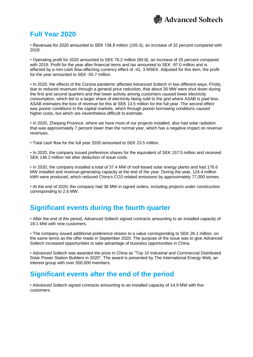

### **Full Year 2020**

• Revenues for 2020 amounted to SEK 138.8 million (105.0), an increase of 32 percent compared with 2019.

• Operating profit for 2020 amounted to SEK 76.2 million (60.8), an increase of 25 percent compared with 2019. Profit for the year after financial items and tax amounted to SEK -97.0 million and is affected by a non-cash flow-affecting currency effect of -41, 3 MSEK. Adjusted for this item, the profit for the year amounted to SEK -55.7 million.

• In 2020, the effects of the Corona pandemic affected Advanced Soltech in two different ways. Firstly, due to reduced revenues through a general price reduction, that about 30 MW were shut down during the first and second quarters and that lower activity among customers caused lower electricity consumption, which led to a larger share of electricity being sold to the grid where ASAB is paid less. ASAB estimates the loss of revenue for this at SEK 13.5 million for the full year. The second effect was poorer conditions in the capital markets, which through poorer borrowing conditions caused higher costs, but which are nevertheless difficult to estimate.

• In 2020, Zheijang Province, where we have most of our projects installed, also had solar radiation that was approximately 7 percent lower than the normal year, which has a negative impact on revenue revenues.

• Total cash flow for the full year 2020 amounted to SEK 23.5 million.

• In 2020, the company issued preference shares for the equivalent of SEK 157.5 million and received SEK 146.2 million net after deduction of issue costs.

• In 2020, the company installed a total of 37.4 MW of roof-based solar energy plants and had 176.6 MW installed and revenue-generating capacity at the end of the year. During the year, 124.4 million kWh were produced, which reduced China's CO2-related emissions by approximately 77,000 tonnes.

• At the end of 2020, the company had 38 MW in signed orders, including projects under construction corresponding to 2.6 MW.

### **Significant events during the fourth quarter**

• After the end of the period, Advanced Soltech signed contracts amounting to an installed capacity of 18.1 MW with nine customers.

• The company issued additional preference shares to a value corresponding to SEK 26.1 million, on the same terms as the offer made in September 2020. The purpose of the issue was to give Advanced Soltech increased opportunities to take advantage of business opportunities in China.

• Advanced Soltech was awarded the prize in China as "Top 10 Industrial and Commercial Distributed Solar Power Station Builders in 2020". The award is presented by The International Energy Web, an interest group with over 500,000 members.

### **Significant events after the end of the period**

• Advanced Soltech signed contracts amounting to an installed capacity of 14.9 MW with five customers.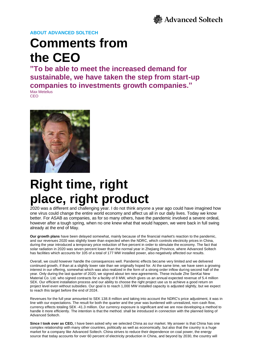

## **Comments from the CEO**

**"To be able to meet the increased demand for sustainable, we have taken the step from start-up companies to investments growth companies."** Max Metelius

**CEO** 



# **Right time, right place, right product**

2020 was a different and challenging year. I do not think anyone a year ago could have imagined how one virus could change the entire world economy and affect us all in our daily lives. Today we know better. For ASAB as companies, as for so many others, have the pandemic involved a severe ordeal, however after a tough spring, when no one knew what that would happen, we were back in full swing already at the end of May.

**Our growth plans** have been delayed somewhat, mainly because of the financial market's reaction to the pandemic, and our revenues 2020 was slightly lower than expected when the NDRC, which controls electricity prices in China, during the year introduced a temporary price reduction of five percent in order to stimulate the economy. The fact that solar radiation in 2020 was seven percent lower than the normal year in Zhejiang Province, where Advanced Soltech has facilities which accounts for 105 of a total of 177 MW installed power, also negatively affected our results.

Overall, we could however handle the consequences well. Pandemic effects became very limited and we delivered continued growth, if than at a slightly lower rate than we originally hoped for. At the same time, we have seen a growing interest in our offering, somewhat which was also realized in the form of a strong order inflow during second half of the year. Only during the last quarter of 2020, we signed about ten new agreements. These include Zhe SenKai New Material Co. Ltd. who signed contracts for a facility of 8 MW, which gives us an annual expected revenue of 5.4 million SEK. Our efficient installation process and our ability to choose the right project use us to achieve a good return on project level even without subsidies. Our goal is to reach 1,000 MW installed capacity is adjusted slightly, but we expect to reach this target before the end of 2024.

Revenues for the full year amounted to SEK 138.8 million and taking into account the NDRC's price adjustment, it was in line with our expectations. The result for both the quarter and the year was burdened with unrealized, non-cash flow, currency effects totaling SEK -41.3 million. Our currency exposure is significant and we are now developing a method to handle it more efficiently. The intention is that the method. shall be introduced in connection with the planned listing of Advanced Soltech.

**Since I took over as CEO,** I have been asked why we selected China as our market. My answer is that China has one complex relationship with many other countries, politically as well as economically, but also that the country is a huge market for a company like Advanced Soltech. China strives to reduce their dependence on coal power, the energy source that today accounts for over 60 percent of electricity production in China, and beyond by 2030, the country will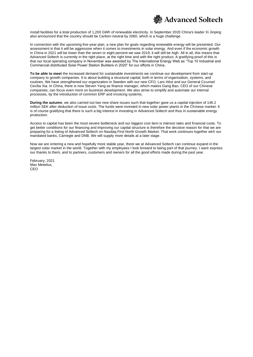

install facilities for a total production of 1,200 GWh of renewable electricity. In September 2020 China's leader Xi Jinping also announced that the country should be Carbon-neutral by 2060, which is a huge challenge.

In connection with the upcoming five-year plan, a new plan for goals regarding renewable energy will be presented. Our assessment is that it will be aggressive when it comes to investments in solar energy. And even if the economic growth in China in 2021 will be lower than the seven or eight percent we saw 2019, it will still be high. All in all, this means that Advanced Soltech is currently in the right place, at the right time and with the right product. A gratifying proof of this is that our local operating company in November was awarded by The International Energy Web as "Top 10 Industrial and Commercial distributed Solar Power Station Builders in 2020" for our efforts in China.

**To be able to meet** the increased demand for sustainable investments we continue our development from start-up company to growth companies. It is about building a structural capital, both in terms of organization, systems, and routines. We have strengthened our organization in Sweden with our new CFO, Lars Höst and our General Counsel Cecilia Xia. In China, there is now Steven Yang as finance manager, which makes Gang Bao, CEO of our Chinese companies, can focus even more on business development. We also strive to simplify and automate our internal processes, by the introduction of common ERP and invoicing systems.

**During the autumn**, we also carried out two new share issues such that together gave us a capital injection of 146.2 million SEK after deduction of issue costs. The funds were invested in new solar power plants in the Chinese market. It is of course gratifying that there is such a big interest in investing in Advanced Soltech and thus in sustainable energy production.

Access to capital has been the most severe bottleneck and our biggest cost item is interest rates and financial costs. To get better conditions for our financing and improving our capital structure is therefore the decisive reason for that we are preparing for a listing of Advanced Soltech on Nasdaq First North Growth Market. That work continues together with our mandated banks, Carnegie and DNB. We will supply more details at a later stage.

Now we are entering a new and hopefully more stable year, there we at Advanced Soltech can continue expand in the largest solar market in the world. Together with my employees I look forward to being part of that journey. I want express our thanks to them, and to partners, customers and owners for all the good efforts made during the past year.

February, 2021 Max Metelius, CEO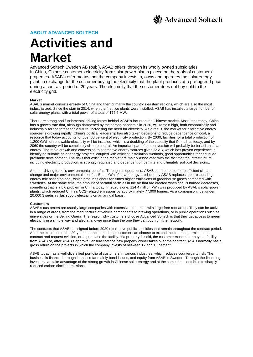# **Activities and Market**

Advanced Soltech Sweden AB (publ), ASAB offers, through its wholly owned subsidiaries In China, Chinese customers electricity from solar power plants placed on the roofs of customers' properties. ASAB's offer means that the company invests in, owns and operates the solar energy plant, in exchange for the customer buying the electricity that the plant produces at a pre-agreed price during a contract period of 20 years. The electricity that the customer does not buy sold to the electricity grid.

### **Market**

ASAB's market consists entirely of China and then primarily the country's eastern regions, which are also the most industrialized. Since the start in 2014, when the first two plants were installed, ASAB has installed a large number of solar energy plants with a total power of a total of 176.6 MW.

There are strong and fundamental driving forces behind ASAB's focus on the Chinese market. Most importantly, China has a growth rate that, although dampened by the corona pandemic in 2020, will remain high, both economically and industrially for the foreseeable future, increasing the need for electricity. As a result, the market for alternative energy sources is growing rapidly. China's political leadership has also taken decisions to reduce dependence on coal, a resource that today accounts for over 60 percent of electricity production. By 2030, facilities for a total production of 1,200 GWh of renewable electricity will be installed, which is a doubling of the capacity that China has today, and by 2060 the country will be completely climate neutral. An important part of the conversion will probably be based on solar energy. The rapid growth and conversion to alternative energy sources gives ASAB, which has proven experience in identifying suitable solar energy projects, coupled with efficient installation methods, good opportunities for continued profitable development. The risks that exist in the market are mainly associated with the fact that the infrastructure, including electricity production, is strongly regulated and dependent on permits and ultimately political decisions..

Another driving force is environmental benefits. Through its operations, ASAB contributes to more efficient climate change and major environmental benefits. Each kWh of solar energy produced by ASAB replaces a corresponding energy mix based on coal, which produces about ten times higher emissions of greenhouse gases compared with Sweden's. At the same time, the amount of harmful particles in the air that are created when coal is burned decreases, something that is a big problem in China today. In 2020 alone, 124.4 million kWh was produced by ASAB's solar power plants, which reduced China's CO2-related emissions by approximately 77,000 tonnes. As a comparison, just under 20,000 Swedish villas supply electricity on an annual basis.

### **Customers**

ASAB's customers are usually large companies with extensive properties with large free roof areas. They can be active in a range of areas, from the manufacture of vehicle components to brewing operations, or in public operations such as universities or the Beijing Opera. The reason why customers choose Advanced Soltech is that they get access to green electricity in a simple way and also at a lower price than the one they can buy from the network.

The contracts that ASAB has signed before 2020 often have public subsidies that remain throughout the contract period. After the expiration of the 20-year contract period, the customer can choose to extend the contract, terminate the contract and request eviction, or to purchase the facility. If a property is sold, the customer must either buy the facility from ASAB or, after ASAB's approval, ensure that the new property owner takes over the contract. ASAB normally has a gross return on the projects in which the company invests of between 12 and 15 percent.

ASAB today has a well-diversified portfolio of customers in various industries, which reduces counterparty risk. The business is financed through loans, so far mainly bond issues, and equity from ASAB in Sweden. Through the financing, investors can take advantage of the strong growth in Chinese solar energy and at the same time contribute to sharply reduced carbon dioxide emissions.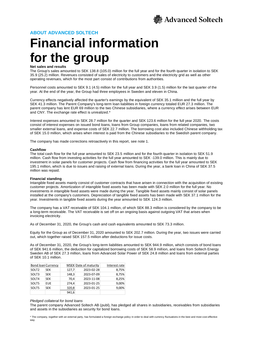

# **Financial information for the group**

#### **Net sales and results**

The Group's sales amounted to SEK 138.8 (105.0) million for the full year and for the fourth quarter in isolation to SEK 35.9 (25.2) million. Revenues consisted of sales of electricity to customers and the electricity grid as well as other operating revenues, which for the most part consist of contributions from authorities.

Personnel costs amounted to SEK 9.1 (4.5) million for the full year and SEK 3.9 (1.5) million for the last quarter of the year. At the end of the year, the Group had three employees in Sweden and eleven in China.

Currency effects negatively affected the quarter's earnings by the equivalent of SEK 35.1 million and the full year by SEK 41.3 million. The Parent Company's long-term loan liabilities in foreign currency totaled EUR 27.3 million. The parent company has lent EUR 69 million to the two Chinese subsidiaries, where a currency effect arises between EUR and CNY. The exchange rate effect is unrealized.\*

Interest expenses amounted to SEK 28.7 million for the quarter and SEK 123.6 million for the full year 2020. The costs consist of interest expenses on issued bond loans, loans from Group companies, loans from related companies, two smaller external loans, and expense costs of SEK 22.7 million. The borrowing cost also included Chinese withholding tax of SEK 15.0 million, which arises when interest is paid from the Chinese subsidiaries to the Swedish parent company.

The company has made corrections retroactively in this report, see note 1.

#### **Cashflow**

The total cash flow for the full year amounted to SEK 23.5 million and for the fourth quarter in isolation to SEK 51.9 million. Cash flow from investing activities for the full year amounted to SEK -139.0 million. This is mainly due to investment in solar panels for customer projects. Cash flow from financing activities for the full year amounted to SEK 195.1 million, which is due to issues and raising of external loans. During the year, a bank loan in China of SEK 37.5 million was repaid.

#### **Financial standing**

Intangible fixed assets mainly consist of customer contracts that have arisen in connection with the acquisition of existing customer projects. Amortization of intangible fixed assets has been made with SEK 2.0 million for the full year. No investments in intangible fixed assets were made during the year. Tangible fixed assets mainly consist of solar panels installed at the company's customers. Depreciation of tangible fixed assets has been made with SEK 37.1 million for the year. Investments in tangible fixed assets during the year amounted to SEK 124.3 million.

The company has a VAT receivable of SEK 104.1 million, of which SEK 88.3 million is considered by the company to be a long-term receivable. The VAT receivable is set off on an ongoing basis against outgoing VAT that arises when invoicing electricity.

As of December 31, 2020, the Group's cash and cash equivalents amounted to SEK 73.3 million.

Equity for the Group as of December 31, 2020 amounted to SEK 202.7 million. During the year, two issues were carried out, which together raised SEK 157.5 million after deductions for issue costs.

As of December 31, 2020, the Group's long-term liabilities amounted to SEK 944.9 million, which consists of bond loans of SEK 941.6 million, the deduction for capitalized borrowing costs of SEK 58.9 million, and loans from Soltech Energy Sweden AB of SEK 27.3 million, loans from Advanced Solar Power of SEK 24.8 million and loans from external parties of SEK 10.1 million.

| <b>Bond loan Currency</b> |            |       | MSEK Date of maturity | Interest rate |
|---------------------------|------------|-------|-----------------------|---------------|
| SOLT <sub>2</sub>         | <b>SEK</b> | 127,7 | 2023-02-28            | 8,75%         |
| SOLT3                     | <b>SEK</b> | 148,3 | 2023-07-09            | 8,75%         |
| SOLT4                     | <b>SEK</b> | 70,4  | 2023-11-08            | 8,25%         |
| SOLT5                     | <b>EUE</b> | 274.4 | 2023-01-25            | 9,00%         |
| SOLT5                     | <b>SEK</b> | 320,8 | 2023-01-25            | 9,00%         |
|                           |            | 941,6 |                       |               |

#### *Pledged collateral for bond loans*

The parent company Advanced Soltech AB (publ), has pledged all shares in subsidiaries, receivables from subsidiaries and assets in the subsidiaries as security for bond loans.

\* The company, together with an external party, has formulated a foreign exchange policy in order to deal with currency fluctuations in the best and most cost-effective way.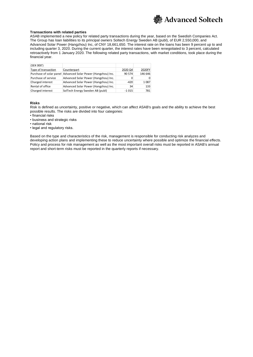

### **Transactions with related parties**

ASAB implemented a new policy for related party transactions during the year, based on the Swedish Companies Act. The Group has loan liabilities to its principal owners Soltech Energy Sweden AB (publ), of EUR 2,550,000, and Advanced Solar Power (Hangzhou) Inc, of CNY 18,661,650. The interest rate on the loans has been 9 percent up to and including quarter 3, 2020. During the current quarter, the interest rates have been renegotiated to 3 percent, calculated retroactively from 1 January 2020. The following related party transactions, with market conditions, took place during the financial year.

| (SEK 000')          |                                                              |         |         |
|---------------------|--------------------------------------------------------------|---------|---------|
| Type of transaction | Counterpart                                                  | 2020 Q4 | 2020FY  |
|                     | Purchase of solar panel Advanced Solar Power (Hangzhou) Inc. | 90 574  | 146 646 |
| Purchase of service | Advanced Solar Power (Hangzhou) Inc.                         |         | 0       |
| Charged interest    | Advanced Solar Power (Hangzhou) Inc.                         | $-420$  | 1087    |
| Rental of office    | Advanced Solar Power (Hangzhou) Inc.                         | 34      | 133     |
| Charged interest    | SolTech Energy Sweden AB (publ)                              | $-1015$ | 781     |

#### **Risks**

Risk is defined as uncertainty, positive or negative, which can affect ASAB's goals and the ability to achieve the best possible results. The risks are divided into four categories:

• financial risks

• business and strategic risks

• national risk

• legal and regulatory risks.

Based on the type and characteristics of the risk, management is responsible for conducting risk analyzes and developing action plans and implementing these to reduce uncertainty where possible and optimize the financial effects. Policy and process for risk management as well as the most important overall risks must be reported in ASAB's annual report and short-term risks must be reported in the quarterly reports if necessary.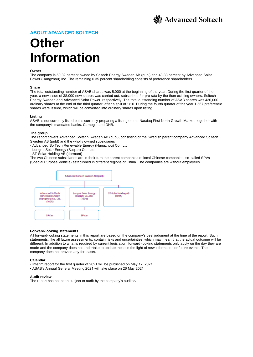

## **Other Information**

### **Owner**

The company is 50.82 percent owned by Soltech Energy Sweden AB (publ) and 48.83 percent by Advanced Solar Power (Hangzhou) Inc. The remaining 0.35 percent shareholding consists of preference shareholders.

#### **Share**

The total outstanding number of ASAB shares was 5,000 at the beginning of the year. During the first quarter of the year, a new issue of 38,000 new shares was carried out, subscribed for pro rata by the then existing owners, Soltech Energy Sweden and Advanced Solar Power, respectively. The total outstanding number of ASAB shares was 430,000 ordinary shares at the end of the third quarter, after a split of 1/10. During the fourth quarter of the year 1,567 preference shares were issued, which will be converted into ordinary shares upon listing.

#### **Listing**

ASAB is not currently listed but is currently preparing a listing on the Nasdaq First North Growth Market, together with the company's mandated banks, Carnegie and DNB.

#### **The group**

The report covers Advanced Soltech Sweden AB (publ), consisting of the Swedish parent company Advanced Soltech Sweden AB (publ) and the wholly owned subsidiaries

- Advanced SolTech Renewable Energy (Hangzhou) Co., Ltd

- Longrui Solar Energy (Suqian) Co., Ltd
- ST-Solar Holding AB (dormant)

The two Chinese subsidiaries are in their turn the parent companies of local Chinese companies, so-called SPVs (Special Purpose Vehicle) established in different regions of China. The companies are without employees.



#### **Forward-looking statements**

All forward-looking statements in this report are based on the company's best judgment at the time of the report. Such statements, like all future assessments, contain risks and uncertainties, which may mean that the actual outcome will be different. In addition to what is required by current legislation, forward-looking statements only apply on the day they are made and the company does not undertake to update these in the light of new information or future events. The company does not provide any forecasts.

#### **Calendar**

- Interim report for the first quarter of 2021 will be published on May 12, 2021
- ASAB's Annual General Meeting 2021 will take place on 26 May 2021

#### **Audit review**

The report has not been subject to audit by the company's auditor**.**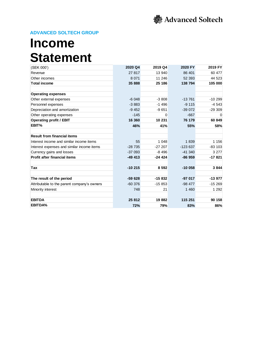

## **Income Statement**

| (SEK 000')                                  | 2020 Q4  | 2019 Q4  | 2020 FY   | 2019 FY  |
|---------------------------------------------|----------|----------|-----------|----------|
| Revenue                                     | 27 817   | 13 940   | 86 401    | 60 477   |
| Other incomes                               | 8 0 7 1  | 11 246   | 52 393    | 44 523   |
| <b>Total income</b>                         | 35 888   | 25 186   | 138 794   | 105 000  |
| <b>Operating expenses</b>                   |          |          |           |          |
| Other external expenses                     | $-6048$  | $-3808$  | $-13761$  | $-10299$ |
| Personnel expenses                          | $-3883$  | $-1496$  | $-9115$   | $-4543$  |
| Depreciation and amortization               | $-9452$  | $-9651$  | $-39072$  | $-29309$ |
| Other operating expenses                    | $-145$   | 0        | $-667$    | $\Omega$ |
| <b>Operating profit / EBIT</b>              | 16 360   | 10 231   | 76 179    | 60 849   |
| EBIT%                                       | 46%      | 41%      | 55%       | 58%      |
| <b>Result from financial items</b>          |          |          |           |          |
| Interest income and similar income items    | 55       | 1 0 4 8  | 1839      | 1 1 5 6  |
| Interest expenses and similar income items  | $-28735$ | $-27207$ | $-123637$ | $-83103$ |
| Currency gains and losses                   | $-37093$ | $-8496$  | $-41340$  | 3 2 7 7  |
| <b>Profit after financial items</b>         | $-49413$ | $-24424$ | $-86959$  | $-17821$ |
| Tax                                         | $-10215$ | 8592     | $-10058$  | 3844     |
| The result of the period                    | $-59628$ | $-15832$ | $-97017$  | $-13977$ |
| Attributable to the parent company's owners | $-60376$ | $-15853$ | $-98477$  | $-15269$ |
| Minority interest                           | 748      | 21       | 1 4 6 0   | 1 2 9 2  |
| <b>EBITDA</b>                               | 25 812   | 19882    | 115 251   | 90 158   |
| <b>EBITDA%</b>                              | 72%      | 79%      | 83%       | 86%      |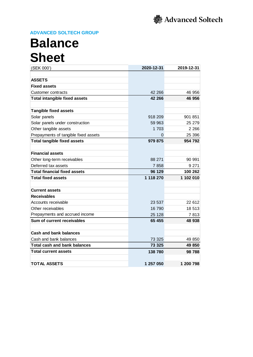## **Balance Sheet**

| (SEK 000')                           | 2020-12-31 | 2019-12-31 |
|--------------------------------------|------------|------------|
|                                      |            |            |
| <b>ASSETS</b>                        |            |            |
| <b>Fixed assets</b>                  |            |            |
| <b>Customer contracts</b>            | 42 266     | 46 956     |
| <b>Total intangible fixed assets</b> | 42 266     | 46 956     |
| <b>Tangible fixed assets</b>         |            |            |
| Solar panels                         | 918 209    | 901 851    |
| Solar panels under construction      | 59 963     | 25 279     |
| Other tangible assets                | 1703       | 2 2 6 6    |
| Prepayments of tangible fixed assets | 0          | 25 396     |
| <b>Total tangible fixed assets</b>   | 979 875    | 954 792    |
| <b>Financial assets</b>              |            |            |
| Other long-term receivables          | 88 271     | 90 991     |
| Deferred tax assets                  | 7858       | 9 2 7 1    |
| <b>Total financial fixed assets</b>  | 96 129     | 100 262    |
| <b>Total fixed assets</b>            | 1 118 270  | 1 102 010  |
|                                      |            |            |
| <b>Current assets</b>                |            |            |
| <b>Receivables</b>                   |            |            |
| Accounts receivable                  | 23 537     | 22 612     |
| Other receivables                    | 16 790     | 18 513     |
| Prepayments and accrued income       | 25 1 28    | 7813       |
| Sum of current receivables           | 65 455     | 48 938     |
| <b>Cash and bank balances</b>        |            |            |
| Cash and bank balances               | 73 325     | 49 850     |
| <b>Total cash and bank balances</b>  | 73 325     | 49 850     |
| <b>Total current assets</b>          | 138 780    | 98788      |
| <b>TOTAL ASSETS</b>                  | 1 257 050  | 1 200 798  |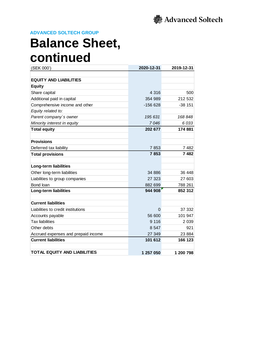

### **Balance Sheet, continued**

| (SEK 000')                          | 2020-12-31 | 2019-12-31 |
|-------------------------------------|------------|------------|
|                                     |            |            |
| <b>EQUITY AND LIABILITIES</b>       |            |            |
| <b>Equity</b>                       |            |            |
| Share capital                       | 4 3 1 6    | 500        |
| Additional paid in capital          | 354 989    | 212 532    |
| Comprehensive income and other      | $-156628$  | $-38$ 151  |
| Equity related to:                  |            |            |
| Parent company's owner              | 195 631    | 168 848    |
| Minority interest in equity         | 7046       | 6033       |
| <b>Total equity</b>                 | 202 677    | 174 881    |
|                                     |            |            |
| <b>Provisions</b>                   |            |            |
| Deferred tax liability              | 7853       | 7482       |
| <b>Total provisions</b>             | 7853       | 7482       |
|                                     |            |            |
| Long-term liabilities               |            |            |
| Other long-term liabilities         | 34 886     | 36 448     |
| Liabilities to group companies      | 27 323     | 27 603     |
| Bond loan                           | 882 699    | 788 261    |
| <b>Long-term liabilities</b>        | 944 908    | 852 312    |
|                                     |            |            |
| <b>Current liabilities</b>          |            |            |
| Liabilities to credit institutions  | 0          | 37 332     |
| Accounts payable                    | 56 600     | 101 947    |
| <b>Tax liabilities</b>              | 9 1 1 6    | 2 0 3 9    |
| Other debts                         | 8 5 4 7    | 921        |
| Accrued expenses and prepaid income | 27 349     | 23 8 84    |
| <b>Current liabilities</b>          | 101 612    | 166 123    |
|                                     |            |            |
| <b>TOTAL EQUITY AND LIABILITIES</b> | 1 257 050  | 1 200 798  |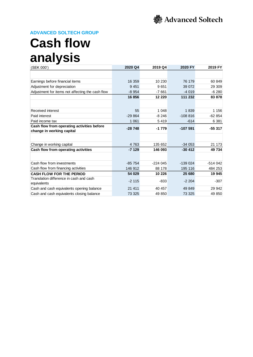## **Cash flow analysis**

| (SEK 000')                                                              | 2020 Q4  | 2019 Q4   | 2020 FY   | 2019 FY   |
|-------------------------------------------------------------------------|----------|-----------|-----------|-----------|
|                                                                         |          |           |           |           |
| Earnings before financial items                                         | 16 359   | 10 230    | 76 179    | 60 849    |
| Adjustment for depreciation                                             | 9451     | 9651      | 39 0 72   | 29 309    |
| Adjustment for items not affecting the cash flow                        | $-8954$  | -7 661    | $-4019$   | $-6280$   |
|                                                                         | 16856    | 12 2 20   | 111 232   | 83 878    |
|                                                                         |          |           |           |           |
| Received interest                                                       | 55       | 1 0 4 8   | 1839      | 1 1 5 6   |
| Paid interest                                                           | $-29864$ | $-8246$   | $-108816$ | $-62854$  |
| Paid income tax                                                         | 1 0 6 1  | 5419      | $-614$    | 6 3 8 1   |
| Cash flow from operating activities before<br>change in working capital | $-28748$ | $-1779$   | $-107591$ | $-55317$  |
|                                                                         |          |           |           |           |
| Change in working capital                                               | 4763     | 135 652   | $-34053$  | 21 173    |
| Cash flow from operating activities                                     | $-7129$  | 146 093   | $-30412$  | 49 734    |
|                                                                         |          |           |           |           |
| Cash flow from investments                                              | $-85754$ | $-224045$ | $-139024$ | $-514042$ |
| Cash flow from financing activities                                     | 146 912  | 88 178    | 195 116   | 484 253   |
| <b>CASH FLOW FOR THE PERIOD</b>                                         | 54 029   | 10 226    | 25 680    | 19 945    |
| Translation difference in cash and cash<br>equivalents                  | $-2115$  | $-833$    | $-2204$   | $-307$    |
| Cash and cash equivalents opening balance                               | 21 411   | 40 457    | 49 849    | 29 942    |
| Cash and cash equivalents closing balance                               | 73 325   | 49 850    | 73 325    | 49 850    |